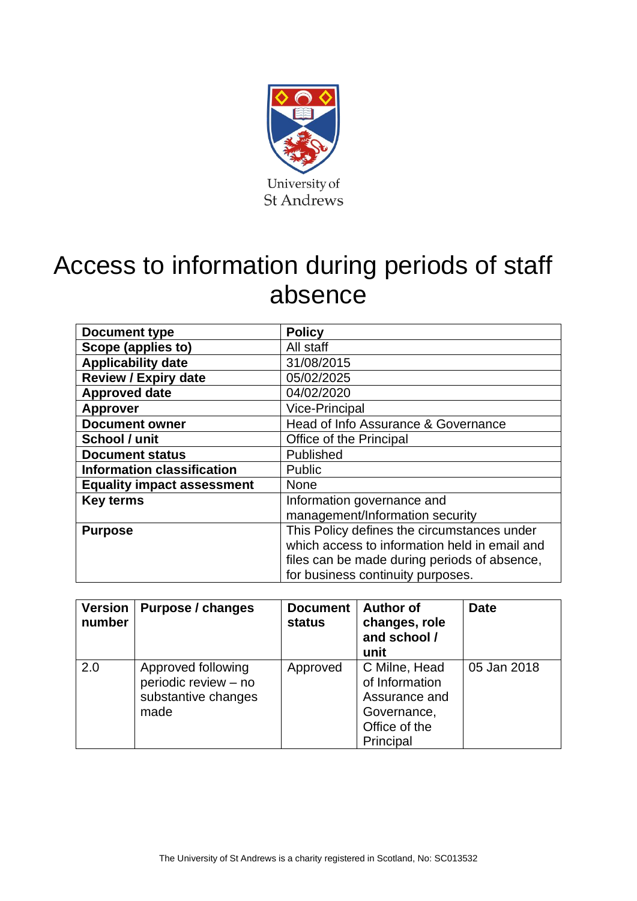

# Access to information during periods of staff absence

| Document type                     | <b>Policy</b>                                 |  |  |
|-----------------------------------|-----------------------------------------------|--|--|
| Scope (applies to)                | All staff                                     |  |  |
| <b>Applicability date</b>         | 31/08/2015                                    |  |  |
| <b>Review / Expiry date</b>       | 05/02/2025                                    |  |  |
| <b>Approved date</b>              | 04/02/2020                                    |  |  |
| <b>Approver</b>                   | <b>Vice-Principal</b>                         |  |  |
| <b>Document owner</b>             | Head of Info Assurance & Governance           |  |  |
| School / unit                     | Office of the Principal                       |  |  |
| <b>Document status</b>            | Published                                     |  |  |
| <b>Information classification</b> | <b>Public</b>                                 |  |  |
| <b>Equality impact assessment</b> | <b>None</b>                                   |  |  |
| <b>Key terms</b>                  | Information governance and                    |  |  |
|                                   | management/Information security               |  |  |
| <b>Purpose</b>                    | This Policy defines the circumstances under   |  |  |
|                                   | which access to information held in email and |  |  |
|                                   | files can be made during periods of absence,  |  |  |
|                                   | for business continuity purposes.             |  |  |

| <b>Version</b><br>number | Purpose / changes                                                         | <b>Document</b><br><b>status</b> | <b>Author of</b><br>changes, role<br>and school /<br>unit                                     | <b>Date</b> |
|--------------------------|---------------------------------------------------------------------------|----------------------------------|-----------------------------------------------------------------------------------------------|-------------|
| 2.0                      | Approved following<br>periodic review - no<br>substantive changes<br>made | Approved                         | C Milne, Head<br>of Information<br>Assurance and<br>Governance,<br>Office of the<br>Principal | 05 Jan 2018 |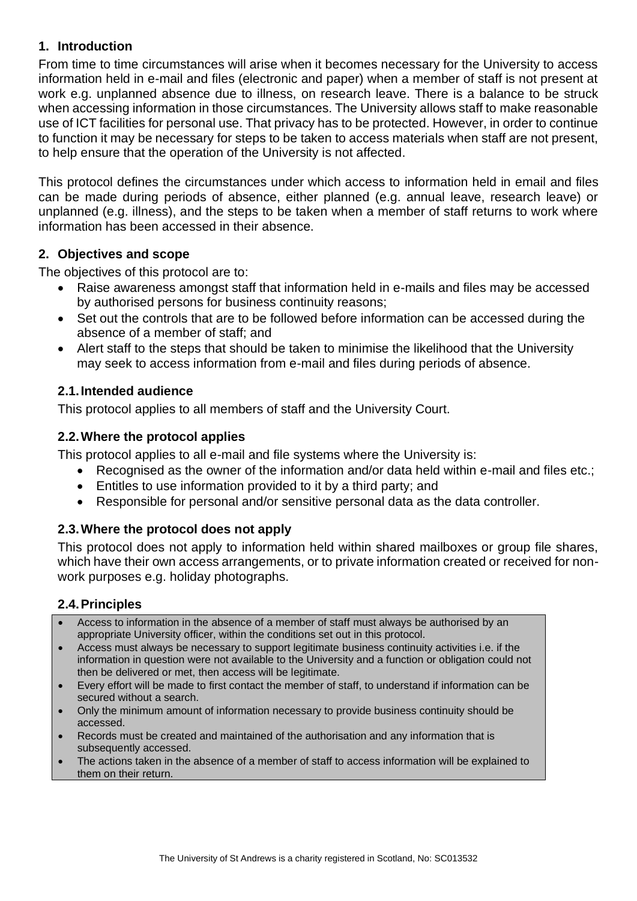# **1. Introduction**

From time to time circumstances will arise when it becomes necessary for the University to access information held in e-mail and files (electronic and paper) when a member of staff is not present at work e.g. unplanned absence due to illness, on research leave. There is a balance to be struck when accessing information in those circumstances. The University allows staff to make reasonable use of ICT facilities for personal use. That privacy has to be protected. However, in order to continue to function it may be necessary for steps to be taken to access materials when staff are not present, to help ensure that the operation of the University is not affected.

This protocol defines the circumstances under which access to information held in email and files can be made during periods of absence, either planned (e.g. annual leave, research leave) or unplanned (e.g. illness), and the steps to be taken when a member of staff returns to work where information has been accessed in their absence.

#### **2. Objectives and scope**

The objectives of this protocol are to:

- Raise awareness amongst staff that information held in e-mails and files may be accessed by authorised persons for business continuity reasons;
- Set out the controls that are to be followed before information can be accessed during the absence of a member of staff; and
- Alert staff to the steps that should be taken to minimise the likelihood that the University may seek to access information from e-mail and files during periods of absence.

#### **2.1.Intended audience**

This protocol applies to all members of staff and the University Court.

#### **2.2.Where the protocol applies**

This protocol applies to all e-mail and file systems where the University is:

- Recognised as the owner of the information and/or data held within e-mail and files etc.;
- Entitles to use information provided to it by a third party; and
- Responsible for personal and/or sensitive personal data as the data controller.

# **2.3.Where the protocol does not apply**

This protocol does not apply to information held within shared mailboxes or group file shares, which have their own access arrangements, or to private information created or received for nonwork purposes e.g. holiday photographs.

# **2.4.Principles**

- Access to information in the absence of a member of staff must always be authorised by an appropriate University officer, within the conditions set out in this protocol.
- Access must always be necessary to support legitimate business continuity activities i.e. if the information in question were not available to the University and a function or obligation could not then be delivered or met, then access will be legitimate.
- Every effort will be made to first contact the member of staff, to understand if information can be secured without a search.
- Only the minimum amount of information necessary to provide business continuity should be accessed.
- Records must be created and maintained of the authorisation and any information that is subsequently accessed.
- The actions taken in the absence of a member of staff to access information will be explained to them on their return.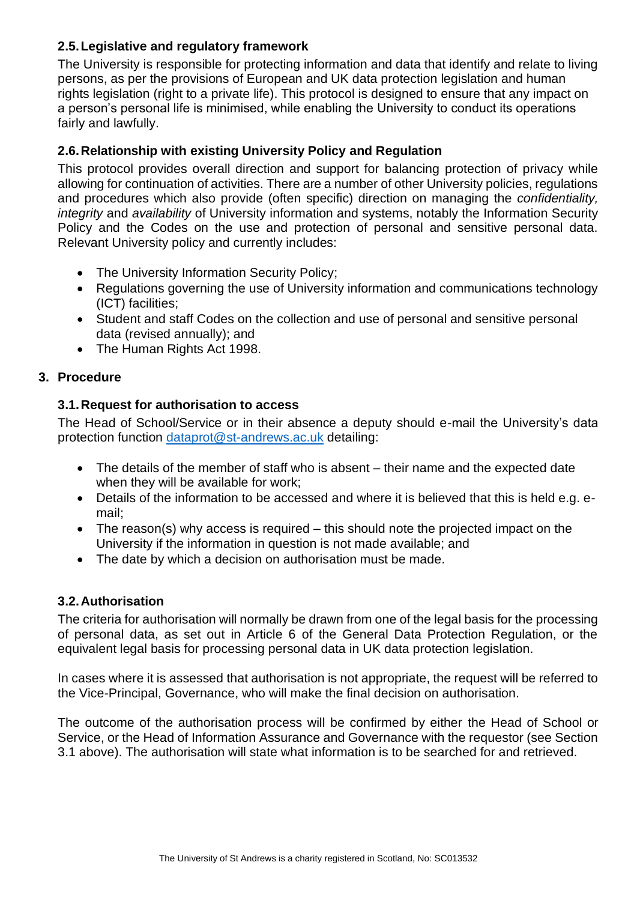# **2.5.Legislative and regulatory framework**

The University is responsible for protecting information and data that identify and relate to living persons, as per the provisions of European and UK data protection legislation and human rights legislation (right to a private life). This protocol is designed to ensure that any impact on a person's personal life is minimised, while enabling the University to conduct its operations fairly and lawfully.

# **2.6.Relationship with existing University Policy and Regulation**

This protocol provides overall direction and support for balancing protection of privacy while allowing for continuation of activities. There are a number of other University policies, regulations and procedures which also provide (often specific) direction on managing the *confidentiality, integrity* and *availability* of University information and systems, notably the Information Security Policy and the Codes on the use and protection of personal and sensitive personal data. Relevant University policy and currently includes:

- The University Information Security Policy;
- Regulations governing the use of University information and communications technology (ICT) facilities;
- Student and staff Codes on the collection and use of personal and sensitive personal data (revised annually); and
- The Human Rights Act 1998.

# **3. Procedure**

# **3.1.Request for authorisation to access**

The Head of School/Service or in their absence a deputy should e-mail the University's data protection function [dataprot@st-andrews.ac.uk](mailto:dataprot@st-andrews.ac.uk) detailing:

- The details of the member of staff who is absent their name and the expected date when they will be available for work;
- Details of the information to be accessed and where it is believed that this is held e.g. email;
- The reason(s) why access is required this should note the projected impact on the University if the information in question is not made available; and
- The date by which a decision on authorisation must be made.

# **3.2.Authorisation**

The criteria for authorisation will normally be drawn from one of the legal basis for the processing of personal data, as set out in Article 6 of the General Data Protection Regulation, or the equivalent legal basis for processing personal data in UK data protection legislation.

In cases where it is assessed that authorisation is not appropriate, the request will be referred to the Vice-Principal, Governance, who will make the final decision on authorisation.

The outcome of the authorisation process will be confirmed by either the Head of School or Service, or the Head of Information Assurance and Governance with the requestor (see Section 3.1 above). The authorisation will state what information is to be searched for and retrieved.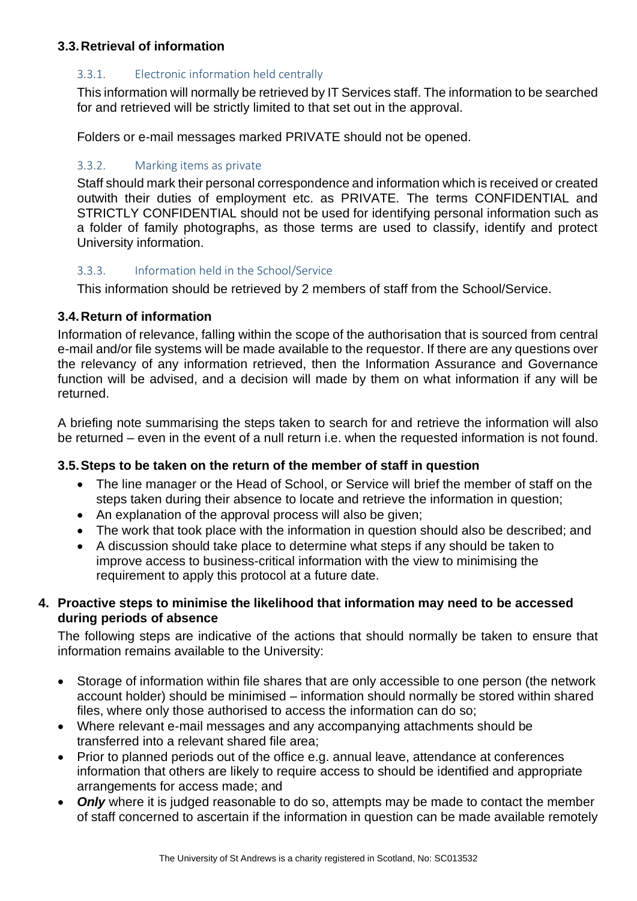## **3.3.Retrieval of information**

#### 3.3.1. Electronic information held centrally

This information will normally be retrieved by IT Services staff. The information to be searched for and retrieved will be strictly limited to that set out in the approval.

Folders or e-mail messages marked PRIVATE should not be opened.

#### 3.3.2. Marking items as private

Staff should mark their personal correspondence and information which is received or created outwith their duties of employment etc. as PRIVATE. The terms CONFIDENTIAL and STRICTLY CONFIDENTIAL should not be used for identifying personal information such as a folder of family photographs, as those terms are used to classify, identify and protect University information.

#### 3.3.3. Information held in the School/Service

This information should be retrieved by 2 members of staff from the School/Service.

#### **3.4.Return of information**

Information of relevance, falling within the scope of the authorisation that is sourced from central e-mail and/or file systems will be made available to the requestor. If there are any questions over the relevancy of any information retrieved, then the Information Assurance and Governance function will be advised, and a decision will made by them on what information if any will be returned.

A briefing note summarising the steps taken to search for and retrieve the information will also be returned – even in the event of a null return i.e. when the requested information is not found.

#### **3.5.Steps to be taken on the return of the member of staff in question**

- The line manager or the Head of School, or Service will brief the member of staff on the steps taken during their absence to locate and retrieve the information in question;
- An explanation of the approval process will also be given;
- The work that took place with the information in question should also be described; and
- A discussion should take place to determine what steps if any should be taken to improve access to business-critical information with the view to minimising the requirement to apply this protocol at a future date.

# **4. Proactive steps to minimise the likelihood that information may need to be accessed during periods of absence**

The following steps are indicative of the actions that should normally be taken to ensure that information remains available to the University:

- Storage of information within file shares that are only accessible to one person (the network account holder) should be minimised – information should normally be stored within shared files, where only those authorised to access the information can do so;
- Where relevant e-mail messages and any accompanying attachments should be transferred into a relevant shared file area;
- Prior to planned periods out of the office e.g. annual leave, attendance at conferences information that others are likely to require access to should be identified and appropriate arrangements for access made; and
- *Only* where it is judged reasonable to do so, attempts may be made to contact the member of staff concerned to ascertain if the information in question can be made available remotely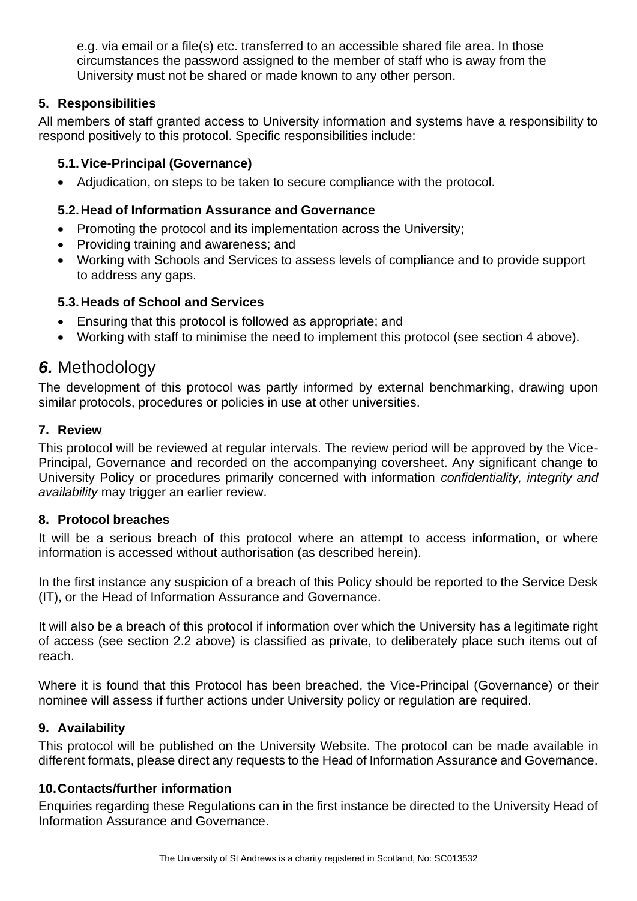e.g. via email or a file(s) etc. transferred to an accessible shared file area. In those circumstances the password assigned to the member of staff who is away from the University must not be shared or made known to any other person.

# **5. Responsibilities**

All members of staff granted access to University information and systems have a responsibility to respond positively to this protocol. Specific responsibilities include:

# **5.1.Vice-Principal (Governance)**

• Adjudication, on steps to be taken to secure compliance with the protocol.

# **5.2.Head of Information Assurance and Governance**

- Promoting the protocol and its implementation across the University;
- Providing training and awareness; and
- Working with Schools and Services to assess levels of compliance and to provide support to address any gaps.

# **5.3.Heads of School and Services**

- Ensuring that this protocol is followed as appropriate; and
- Working with staff to minimise the need to implement this protocol (see section 4 above).

# *6.* Methodology

The development of this protocol was partly informed by external benchmarking, drawing upon similar protocols, procedures or policies in use at other universities.

# **7. Review**

This protocol will be reviewed at regular intervals. The review period will be approved by the Vice-Principal, Governance and recorded on the accompanying coversheet. Any significant change to University Policy or procedures primarily concerned with information *confidentiality, integrity and availability* may trigger an earlier review.

# **8. Protocol breaches**

It will be a serious breach of this protocol where an attempt to access information, or where information is accessed without authorisation (as described herein).

In the first instance any suspicion of a breach of this Policy should be reported to the Service Desk (IT), or the Head of Information Assurance and Governance.

It will also be a breach of this protocol if information over which the University has a legitimate right of access (see section 2.2 above) is classified as private, to deliberately place such items out of reach.

Where it is found that this Protocol has been breached, the Vice-Principal (Governance) or their nominee will assess if further actions under University policy or regulation are required.

# **9. Availability**

This protocol will be published on the University Website. The protocol can be made available in different formats, please direct any requests to the Head of Information Assurance and Governance.

# **10.Contacts/further information**

Enquiries regarding these Regulations can in the first instance be directed to the University Head of Information Assurance and Governance.